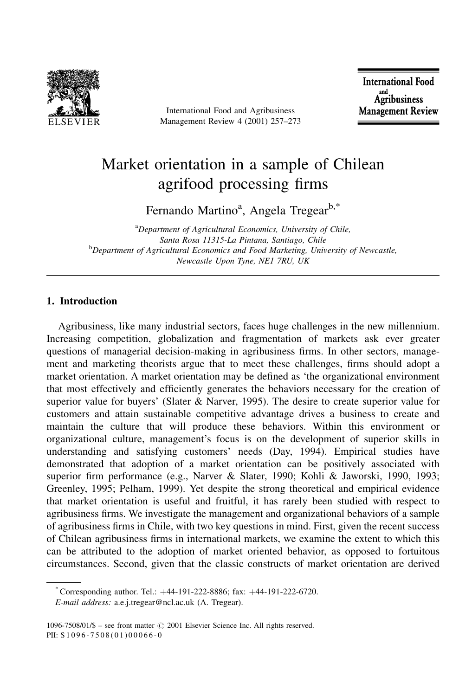

International Food and Agribusiness Management Review 4 (2001) 257-273

**International Food** and<br>Agribusiness **Management Review** 

# Market orientation in a sample of Chilean agrifood processing firms

Fernando Martino<sup>a</sup>, Angela Tregear<sup>b,\*</sup>

<sup>a</sup>Department of Agricultural Economics, University of Chile, Santa Rosa 11315-La Pintana, Santiago, Chile <sup>b</sup>Department of Agricultural Economics and Food Marketing, University of Newcastle, Newcastle Upon Tyne, NE1 7RU, UK

# 1. Introduction

Agribusiness, like many industrial sectors, faces huge challenges in the new millennium. Increasing competition, globalization and fragmentation of markets ask ever greater questions of managerial decision-making in agribusiness firms. In other sectors, management and marketing theorists argue that to meet these challenges, firms should adopt a market orientation. A market orientation may be defined as 'the organizational environment that most effectively and efficiently generates the behaviors necessary for the creation of superior value for buyers' (Slater & Narver, 1995). The desire to create superior value for customers and attain sustainable competitive advantage drives a business to create and maintain the culture that will produce these behaviors. Within this environment or organizational culture, management's focus is on the development of superior skills in understanding and satisfying customers' needs (Day, 1994). Empirical studies have demonstrated that adoption of a market orientation can be positively associated with superior firm performance (e.g., Narver & Slater, 1990; Kohli & Jaworski, 1990, 1993; Greenley, 1995; Pelham, 1999). Yet despite the strong theoretical and empirical evidence that market orientation is useful and fruitful, it has rarely been studied with respect to agribusiness firms. We investigate the management and organizational behaviors of a sample of agribusiness firms in Chile, with two key questions in mind. First, given the recent success of Chilean agribusiness firms in international markets, we examine the extent to which this can be attributed to the adoption of market oriented behavior, as opposed to fortuitous circumstances. Second, given that the classic constructs of market orientation are derived

<sup>\*</sup> Corresponding author. Tel.:  $+44-191-222-8886$ ; fax:  $+44-191-222-6720$ . E-mail address: a.e.j.tregear@ncl.ac.uk (A. Tregear).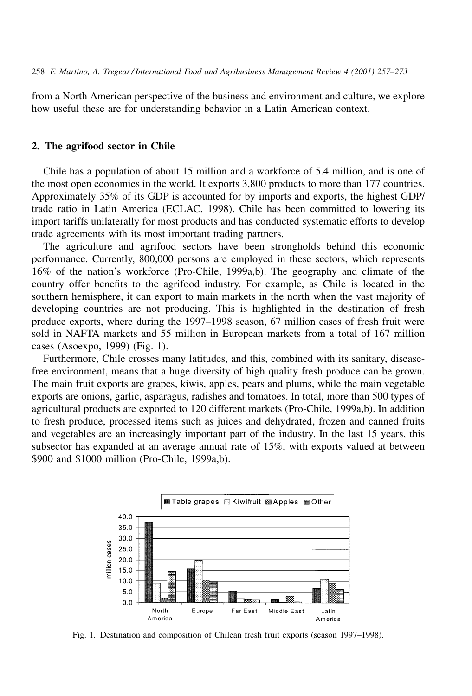from a North American perspective of the business and environment and culture, we explore how useful these are for understanding behavior in a Latin American context.

#### 2. The agrifood sector in Chile

Chile has a population of about 15 million and a workforce of 5.4 million, and is one of the most open economies in the world. It exports 3,800 products to more than 177 countries. Approximately 35% of its GDP is accounted for by imports and exports, the highest GDP/ trade ratio in Latin America (ECLAC, 1998). Chile has been committed to lowering its import tariffs unilaterally for most products and has conducted systematic efforts to develop trade agreements with its most important trading partners.

The agriculture and agrifood sectors have been strongholds behind this economic performance. Currently, 800,000 persons are employed in these sectors, which represents 16% of the nation's workforce (Pro-Chile, 1999a,b). The geography and climate of the country offer benefits to the agrifood industry. For example, as Chile is located in the southern hemisphere, it can export to main markets in the north when the vast majority of developing countries are not producing. This is highlighted in the destination of fresh produce exports, where during the 1997–1998 season, 67 million cases of fresh fruit were sold in NAFTA markets and 55 million in European markets from a total of 167 million cases (Asoexpo, 1999) (Fig. 1).

Furthermore, Chile crosses many latitudes, and this, combined with its sanitary, diseasefree environment, means that a huge diversity of high quality fresh produce can be grown. The main fruit exports are grapes, kiwis, apples, pears and plums, while the main vegetable exports are onions, garlic, asparagus, radishes and tomatoes. In total, more than 500 types of agricultural products are exported to 120 different markets (Pro-Chile, 1999a,b). In addition to fresh produce, processed items such as juices and dehydrated, frozen and canned fruits and vegetables are an increasingly important part of the industry. In the last 15 years, this subsector has expanded at an average annual rate of 15%, with exports valued at between \$900 and \$1000 million (Pro-Chile, 1999a,b).



Fig. 1. Destination and composition of Chilean fresh fruit exports (season 1997–1998).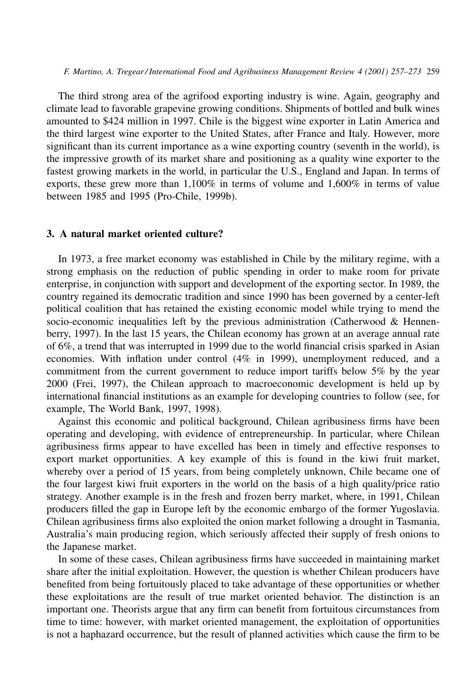The third strong area of the agrifood exporting industry is wine. Again, geography and climate lead to favorable grapevine growing conditions. Shipments of bottled and bulk wines amounted to \$424 million in 1997. Chile is the biggest wine exporter in Latin America and the third largest wine exporter to the United States, after France and Italy. However, more significant than its current importance as a wine exporting country (seventh in the world), is the impressive growth of its market share and positioning as a quality wine exporter to the fastest growing markets in the world, in particular the U.S., England and Japan. In terms of exports, these grew more than  $1,100\%$  in terms of volume and  $1,600\%$  in terms of value between 1985 and 1995 (Pro-Chile, 1999b).

## 3. A natural market oriented culture?

In 1973, a free market economy was established in Chile by the military regime, with a strong emphasis on the reduction of public spending in order to make room for private enterprise, in conjunction with support and development of the exporting sector. In 1989, the country regained its democratic tradition and since 1990 has been governed by a center-left political coalition that has retained the existing economic model while trying to mend the socio-economic inequalities left by the previous administration (Catherwood & Hennenberry, 1997). In the last 15 years, the Chilean economy has grown at an average annual rate of 6%, a trend that was interrupted in 1999 due to the world financial crisis sparked in Asian economies. With inflation under control (4% in 1999), unemployment reduced, and a commitment from the current government to reduce import tariffs below 5% by the year 2000 (Frei, 1997), the Chilean approach to macroeconomic development is held up by international financial institutions as an example for developing countries to follow (see, for example, The World Bank, 1997, 1998).

Against this economic and political background, Chilean agribusiness firms have been operating and developing, with evidence of entrepreneurship. In particular, where Chilean agribusiness firms appear to have excelled has been in timely and effective responses to export market opportunities. A key example of this is found in the kiwi fruit market, whereby over a period of 15 years, from being completely unknown, Chile became one of the four largest kiwi fruit exporters in the world on the basis of a high quality/price ratio strategy. Another example is in the fresh and frozen berry market, where, in 1991, Chilean producers filled the gap in Europe left by the economic embargo of the former Yugoslavia. Chilean agribusiness firms also exploited the onion market following a drought in Tasmania, Australia's main producing region, which seriously affected their supply of fresh onions to the Japanese market.

In some of these cases, Chilean agribusiness firms have succeeded in maintaining market share after the initial exploitation. However, the question is whether Chilean producers have benefited from being fortuitously placed to take advantage of these opportunities or whether these exploitations are the result of true market oriented behavior. The distinction is an important one. Theorists argue that any firm can benefit from fortuitous circumstances from time to time: however, with market oriented management, the exploitation of opportunities is not a haphazard occurrence, but the result of planned activities which cause the firm to be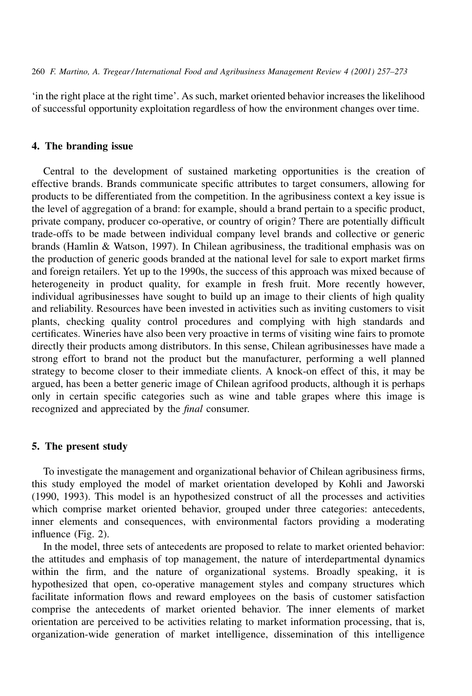260 F. Martino, A. Tregear/International Food and Agribusiness Management Review 4 (2001) 257–273

'in the right place at the right time'. As such, market oriented behavior increases the likelihood of successful opportunity exploitation regardless of how the environment changes over time.

# 4. The branding issue

Central to the development of sustained marketing opportunities is the creation of effective brands. Brands communicate specific attributes to target consumers, allowing for products to be differentiated from the competition. In the agribusiness context a key issue is the level of aggregation of a brand: for example, should a brand pertain to a specific product, private company, producer co-operative, or country of origin? There are potentially difficult trade-offs to be made between individual company level brands and collective or generic brands (Hamlin & Watson, 1997). In Chilean agribusiness, the traditional emphasis was on the production of generic goods branded at the national level for sale to export market firms and foreign retailers. Yet up to the 1990s, the success of this approach was mixed because of heterogeneity in product quality, for example in fresh fruit. More recently however, individual agribusinesses have sought to build up an image to their clients of high quality and reliability. Resources have been invested in activities such as inviting customers to visit plants, checking quality control procedures and complying with high standards and certificates. Wineries have also been very proactive in terms of visiting wine fairs to promote directly their products among distributors. In this sense, Chilean agribusinesses have made a strong effort to brand not the product but the manufacturer, performing a well planned strategy to become closer to their immediate clients. A knock-on effect of this, it may be argued, has been a better generic image of Chilean agrifood products, although it is perhaps only in certain specific categories such as wine and table grapes where this image is recognized and appreciated by the *final* consumer.

# 5. The present study

To investigate the management and organizational behavior of Chilean agribusiness firms, this study employed the model of market orientation developed by Kohli and Jaworski (1990, 1993). This model is an hypothesized construct of all the processes and activities which comprise market oriented behavior, grouped under three categories: antecedents, inner elements and consequences, with environmental factors providing a moderating influence (Fig. 2).

In the model, three sets of antecedents are proposed to relate to market oriented behavior: the attitudes and emphasis of top management, the nature of interdepartmental dynamics within the firm, and the nature of organizational systems. Broadly speaking, it is hypothesized that open, co-operative management styles and company structures which facilitate information flows and reward employees on the basis of customer satisfaction comprise the antecedents of market oriented behavior. The inner elements of market orientation are perceived to be activities relating to market information processing, that is, organization-wide generation of market intelligence, dissemination of this intelligence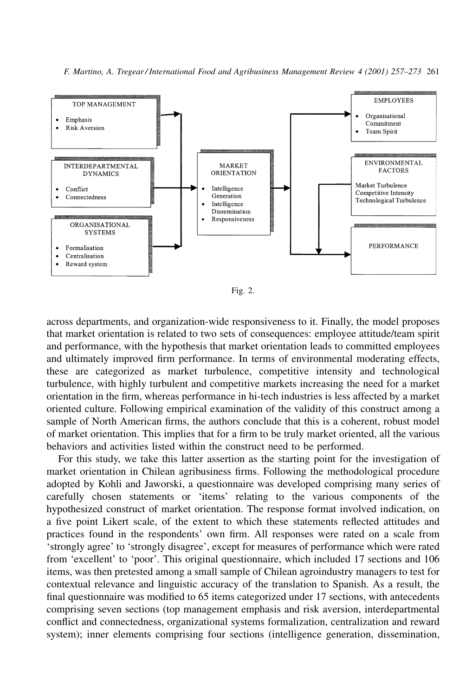

F. Martino, A. Tregear/International Food and Agribusiness Management Review 4 (2001) 257–273 261

Fig. 2.

across departments, and organization-wide responsiveness to it. Finally, the model proposes that market orientation is related to two sets of consequences: employee attitude/team spirit and performance, with the hypothesis that market orientation leads to committed employees and ultimately improved firm performance. In terms of environmental moderating effects, these are categorized as market turbulence, competitive intensity and technological turbulence, with highly turbulent and competitive markets increasing the need for a market orientation in the firm, whereas performance in hi-tech industries is less affected by a market oriented culture. Following empirical examination of the validity of this construct among a sample of North American firms, the authors conclude that this is a coherent, robust model of market orientation. This implies that for a firm to be truly market oriented, all the various behaviors and activities listed within the construct need to be performed.

For this study, we take this latter assertion as the starting point for the investigation of market orientation in Chilean agribusiness firms. Following the methodological procedure adopted by Kohli and Jaworski, a questionnaire was developed comprising many series of carefully chosen statements or 'items' relating to the various components of the hypothesized construct of market orientation. The response format involved indication, on a five point Likert scale, of the extent to which these statements reflected attitudes and practices found in the respondents' own firm. All responses were rated on a scale from 'strongly agree' to 'strongly disagree', except for measures of performance which were rated from 'excellent' to 'poor'. This original questionnaire, which included 17 sections and 106 items, was then pretested among a small sample of Chilean agroindustry managers to test for contextual relevance and linguistic accuracy of the translation to Spanish. As a result, the final questionnaire was modified to 65 items categorized under 17 sections, with antecedents comprising seven sections (top management emphasis and risk aversion, interdepartmental conflict and connectedness, organizational systems formalization, centralization and reward system); inner elements comprising four sections (intelligence generation, dissemination,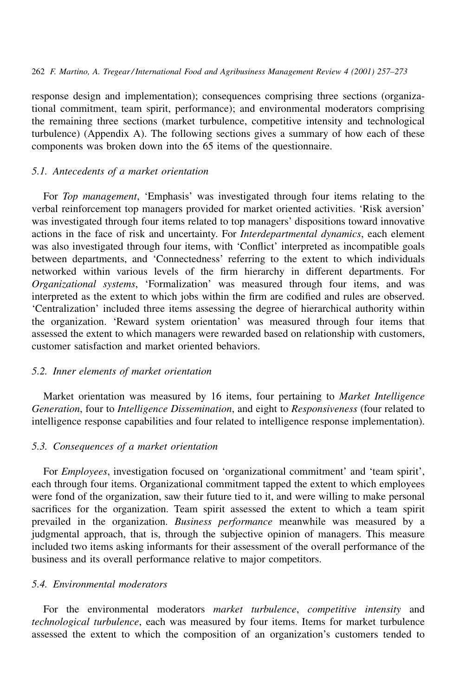response design and implementation); consequences comprising three sections (organizational commitment, team spirit, performance); and environmental moderators comprising the remaining three sections (market turbulence, competitive intensity and technological turbulence) (Appendix A). The following sections gives a summary of how each of these components was broken down into the 65 items of the questionnaire.

## 5.1. Antecedents of a market orientation

For Top management, 'Emphasis' was investigated through four items relating to the verbal reinforcement top managers provided for market oriented activities. 'Risk aversion' was investigated through four items related to top managers' dispositions toward innovative actions in the face of risk and uncertainty. For *Interdepartmental dynamics*, each element was also investigated through four items, with 'Conflict' interpreted as incompatible goals between departments, and 'Connectedness' referring to the extent to which individuals networked within various levels of the firm hierarchy in different departments. For Organizational systems, 'Formalization' was measured through four items, and was interpreted as the extent to which jobs within the firm are codified and rules are observed. 'Centralization' included three items assessing the degree of hierarchical authority within the organization. 'Reward system orientation' was measured through four items that assessed the extent to which managers were rewarded based on relationship with customers, customer satisfaction and market oriented behaviors

#### 5.2. Inner elements of market orientation

Market orientation was measured by 16 items, four pertaining to Market Intelligence Generation, four to Intelligence Dissemination, and eight to Responsiveness (four related to intelligence response capabilities and four related to intelligence response implementation).

#### 5.3. Consequences of a market orientation

For *Employees*, investigation focused on 'organizational commitment' and 'team spirit', each through four items. Organizational commitment tapped the extent to which employees were fond of the organization, saw their future tied to it, and were willing to make personal sacrifices for the organization. Team spirit assessed the extent to which a team spirit prevailed in the organization. Business performance meanwhile was measured by a judgmental approach, that is, through the subjective opinion of managers. This measure included two items asking informants for their assessment of the overall performance of the business and its overall performance relative to major competitors.

## 5.4. Environmental moderators

For the environmental moderators market turbulence, competitive intensity and technological turbulence, each was measured by four items. Items for market turbulence assessed the extent to which the composition of an organization's customers tended to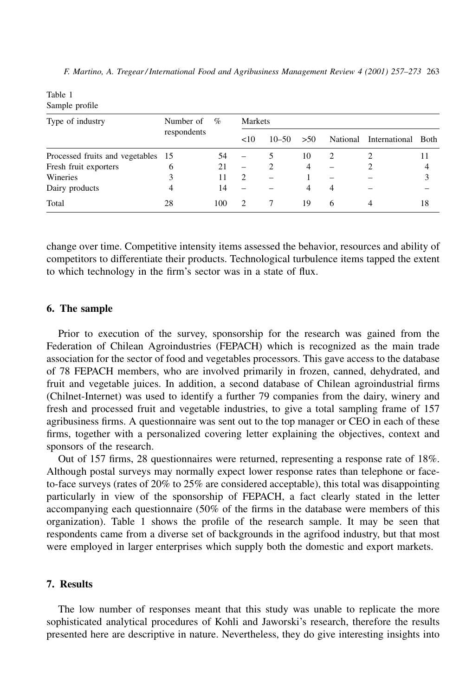| Tavit 1<br>Sample profile          |                          |      |               |           |     |   |                             |    |
|------------------------------------|--------------------------|------|---------------|-----------|-----|---|-----------------------------|----|
| Type of industry                   | Number of<br>respondents | $\%$ | Markets       |           |     |   |                             |    |
|                                    |                          |      | <10           | $10 - 50$ | >50 |   | National International Both |    |
| Processed fruits and vegetables 15 |                          | 54   |               |           | 10  | 2 |                             |    |
| Fresh fruit exporters              | 6                        | 21   |               |           | 4   |   |                             | 4  |
| Wineries                           | 3                        | 11   | $\mathcal{L}$ |           |     |   |                             | 3  |
| Dairy products                     | 4                        | 14   |               |           | 4   | 4 |                             |    |
| Total                              | 28                       | 100  |               |           | 19  | 6 |                             | 18 |

F. Martino, A. Tregear/International Food and Agribusiness Management Review 4 (2001) 257–273 263

change over time. Competitive intensity items assessed the behavior, resources and ability of competitors to differentiate their products. Technological turbulence items tapped the extent to which technology in the firm's sector was in a state of flux.

# 6. The sample

 $Table 1$ 

Prior to execution of the survey, sponsorship for the research was gained from the Federation of Chilean Agroindustries (FEPACH) which is recognized as the main trade association for the sector of food and vegetables processors. This gave access to the database of 78 FEPACH members, who are involved primarily in frozen, canned, dehydrated, and fruit and vegetable juices. In addition, a second database of Chilean agroindustrial firms (Chilnet-Internet) was used to identify a further 79 companies from the dairy, winery and fresh and processed fruit and vegetable industries, to give a total sampling frame of 157 agribusiness firms. A questionnaire was sent out to the top manager or CEO in each of these firms, together with a personalized covering letter explaining the objectives, context and sponsors of the research.

Out of 157 firms, 28 questionnaires were returned, representing a response rate of 18%. Although postal surveys may normally expect lower response rates than telephone or faceto-face surveys (rates of  $20\%$  to  $25\%$  are considered acceptable), this total was disappointing particularly in view of the sponsorship of FEPACH, a fact clearly stated in the letter accompanying each questionnaire  $(50\% \text{ of the firms in the database were members of this})$ organization). Table 1 shows the profile of the research sample. It may be seen that respondents came from a diverse set of backgrounds in the agrifood industry, but that most were employed in larger enterprises which supply both the domestic and export markets.

## 7. Results

The low number of responses meant that this study was unable to replicate the more sophisticated analytical procedures of Kohli and Jaworski's research, therefore the results presented here are descriptive in nature. Nevertheless, they do give interesting insights into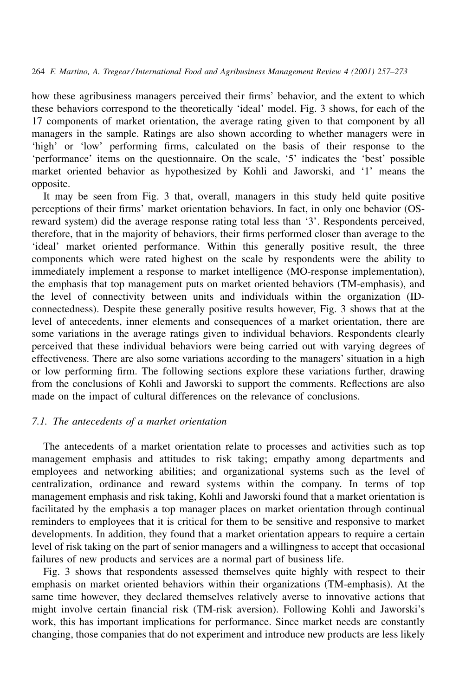how these agribusiness managers perceived their firms' behavior, and the extent to which these behaviors correspond to the theoretically 'ideal' model. Fig. 3 shows, for each of the 17 components of market orientation, the average rating given to that component by all managers in the sample. Ratings are also shown according to whether managers were in 'high' or 'low' performing firms, calculated on the basis of their response to the 'performance' items on the questionnaire. On the scale, '5' indicates the 'best' possible market oriented behavior as hypothesized by Kohli and Jaworski, and '1' means the opposite.

It may be seen from Fig. 3 that, overall, managers in this study held quite positive perceptions of their firms' market orientation behaviors. In fact, in only one behavior (OSreward system) did the average response rating total less than '3'. Respondents perceived, therefore, that in the majority of behaviors, their firms performed closer than average to the 'ideal' market oriented performance. Within this generally positive result, the three components which were rated highest on the scale by respondents were the ability to immediately implement a response to market intelligence (MO-response implementation), the emphasis that top management puts on market oriented behaviors (TM-emphasis), and the level of connectivity between units and individuals within the organization (IDconnectedness). Despite these generally positive results however, Fig. 3 shows that at the level of antecedents, inner elements and consequences of a market orientation, there are some variations in the average ratings given to individual behaviors. Respondents clearly perceived that these individual behaviors were being carried out with varying degrees of effectiveness. There are also some variations according to the managers' situation in a high or low performing firm. The following sections explore these variations further, drawing from the conclusions of Kohli and Jaworski to support the comments. Reflections are also made on the impact of cultural differences on the relevance of conclusions.

# 7.1. The antecedents of a market orientation

The antecedents of a market orientation relate to processes and activities such as top management emphasis and attitudes to risk taking; empathy among departments and employees and networking abilities; and organizational systems such as the level of centralization, ordinance and reward systems within the company. In terms of top management emphasis and risk taking, Kohli and Jaworski found that a market orientation is facilitated by the emphasis a top manager places on market orientation through continual reminders to employees that it is critical for them to be sensitive and responsive to market developments. In addition, they found that a market orientation appears to require a certain level of risk taking on the part of senior managers and a willingness to accept that occasional failures of new products and services are a normal part of business life.

Fig. 3 shows that respondents assessed themselves quite highly with respect to their emphasis on market oriented behaviors within their organizations (TM-emphasis). At the same time however, they declared themselves relatively averse to innovative actions that might involve certain financial risk (TM-risk aversion). Following Kohli and Jaworski's work, this has important implications for performance. Since market needs are constantly changing, those companies that do not experiment and introduce new products are less likely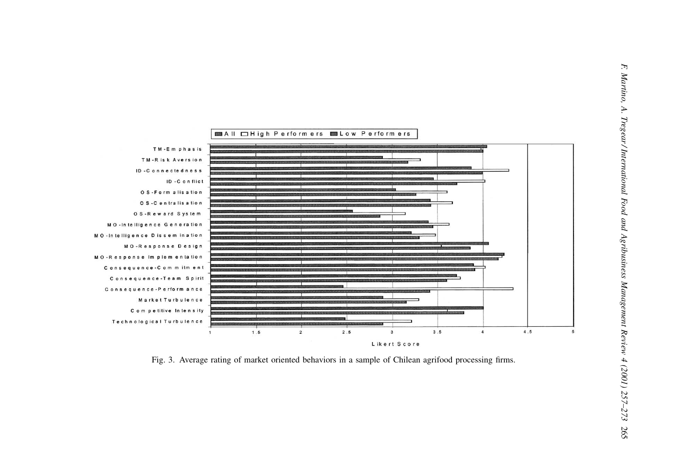

Fig. 3. Average rating of market oriented behaviors in a sample of Chilean agrifood processing firms.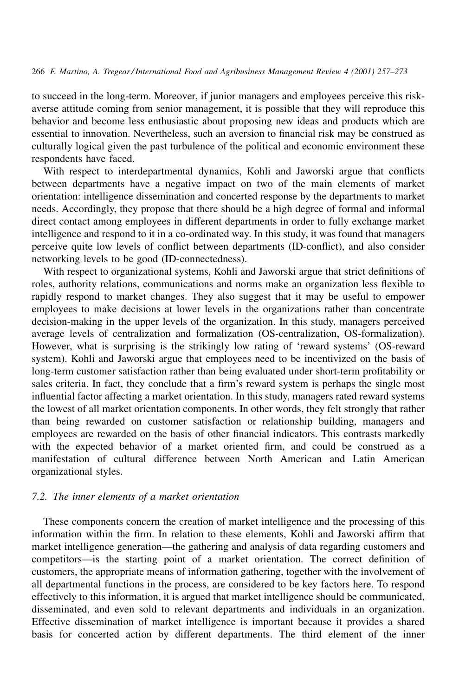to succeed in the long-term. Moreover, if junior managers and employees perceive this riskaverse attitude coming from senior management, it is possible that they will reproduce this behavior and become less enthusiastic about proposing new ideas and products which are essential to innovation. Nevertheless, such an aversion to financial risk may be construed as culturally logical given the past turbulence of the political and economic environment these respondents have faced.

With respect to interdepartmental dynamics, Kohli and Jaworski argue that conflicts between departments have a negative impact on two of the main elements of market orientation: intelligence dissemination and concerted response by the departments to market needs. Accordingly, they propose that there should be a high degree of formal and informal direct contact among employees in different departments in order to fully exchange market intelligence and respond to it in a co-ordinated way. In this study, it was found that managers perceive quite low levels of conflict between departments (ID-conflict), and also consider networking levels to be good (ID-connectedness).

With respect to organizational systems, Kohli and Jaworski argue that strict definitions of roles, authority relations, communications and norms make an organization less flexible to rapidly respond to market changes. They also suggest that it may be useful to empower employees to make decisions at lower levels in the organizations rather than concentrate decision-making in the upper levels of the organization. In this study, managers perceived average levels of centralization and formalization (OS-centralization, OS-formalization). However, what is surprising is the strikingly low rating of 'reward systems' (OS-reward system). Kohli and Jaworski argue that employees need to be incentivized on the basis of long-term customer satisfaction rather than being evaluated under short-term profitability or sales criteria. In fact, they conclude that a firm's reward system is perhaps the single most influential factor affecting a market orientation. In this study, managers rated reward systems the lowest of all market orientation components. In other words, they felt strongly that rather than being rewarded on customer satisfaction or relationship building, managers and employees are rewarded on the basis of other financial indicators. This contrasts markedly with the expected behavior of a market oriented firm, and could be construed as a manifestation of cultural difference between North American and Latin American organizational styles.

#### 7.2. The inner elements of a market orientation

These components concern the creation of market intelligence and the processing of this information within the firm. In relation to these elements, Kohli and Jaworski affirm that market intelligence generation—the gathering and analysis of data regarding customers and competitors-is the starting point of a market orientation. The correct definition of customers, the appropriate means of information gathering, together with the involvement of all departmental functions in the process, are considered to be key factors here. To respond effectively to this information, it is argued that market intelligence should be communicated, disseminated, and even sold to relevant departments and individuals in an organization. Effective dissemination of market intelligence is important because it provides a shared basis for concerted action by different departments. The third element of the inner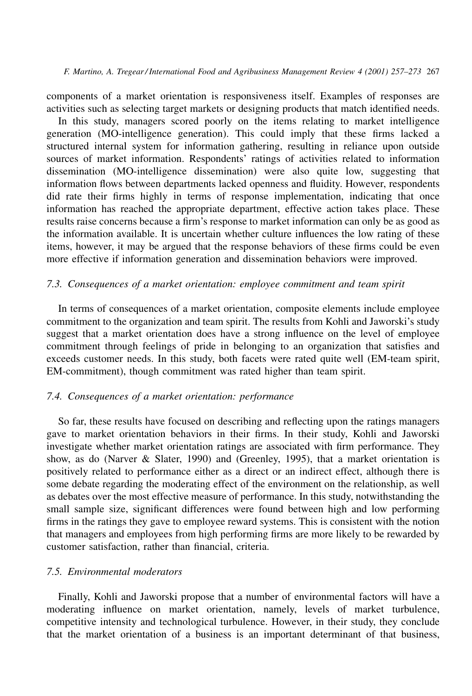components of a market orientation is responsiveness itself. Examples of responses are activities such as selecting target markets or designing products that match identified needs.

In this study, managers scored poorly on the items relating to market intelligence generation (MO-intelligence generation). This could imply that these firms lacked a structured internal system for information gathering, resulting in reliance upon outside sources of market information. Respondents' ratings of activities related to information dissemination (MO-intelligence dissemination) were also quite low, suggesting that information flows between departments lacked openness and fluidity. However, respondents did rate their firms highly in terms of response implementation, indicating that once information has reached the appropriate department, effective action takes place. These results raise concerns because a firm's response to market information can only be as good as the information available. It is uncertain whether culture influences the low rating of these items, however, it may be argued that the response behaviors of these firms could be even more effective if information generation and dissemination behaviors were improved.

## 7.3. Consequences of a market orientation: employee commitment and team spirit

In terms of consequences of a market orientation, composite elements include employee commitment to the organization and team spirit. The results from Kohli and Jaworski's study suggest that a market orientation does have a strong influence on the level of employee commitment through feelings of pride in belonging to an organization that satisfies and exceeds customer needs. In this study, both facets were rated quite well (EM-team spirit, EM-commitment), though commitment was rated higher than team spirit.

# 7.4. Consequences of a market orientation: performance

So far, these results have focused on describing and reflecting upon the ratings managers gave to market orientation behaviors in their firms. In their study, Kohli and Jaworski investigate whether market orientation ratings are associated with firm performance. They show, as do (Narver & Slater, 1990) and (Greenley, 1995), that a market orientation is positively related to performance either as a direct or an indirect effect, although there is some debate regarding the moderating effect of the environment on the relationship, as well as debates over the most effective measure of performance. In this study, notwithstanding the small sample size, significant differences were found between high and low performing firms in the ratings they gave to employee reward systems. This is consistent with the notion that managers and employees from high performing firms are more likely to be rewarded by customer satisfaction, rather than financial, criteria.

# 7.5 Environmental moderators

Finally, Kohli and Jaworski propose that a number of environmental factors will have a moderating influence on market orientation, namely, levels of market turbulence, competitive intensity and technological turbulence. However, in their study, they conclude that the market orientation of a business is an important determinant of that business,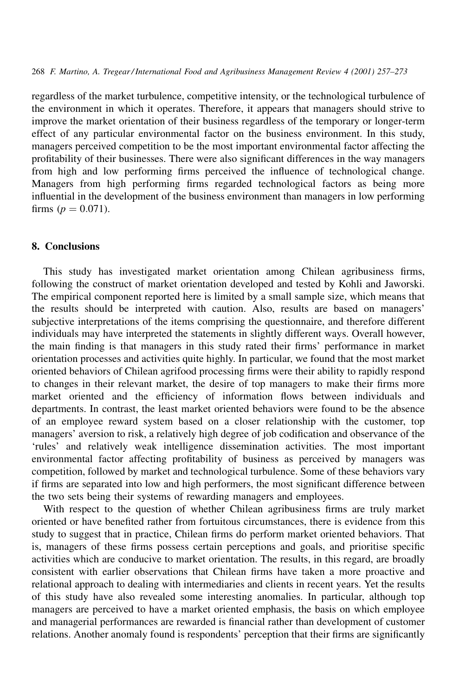regardless of the market turbulence, competitive intensity, or the technological turbulence of the environment in which it operates. Therefore, it appears that managers should strive to improve the market orientation of their business regardless of the temporary or longer-term effect of any particular environmental factor on the business environment. In this study, managers perceived competition to be the most important environmental factor affecting the profitability of their businesses. There were also significant differences in the way managers from high and low performing firms perceived the influence of technological change. Managers from high performing firms regarded technological factors as being more influential in the development of the business environment than managers in low performing firms ( $p = 0.071$ ).

# 8. Conclusions

This study has investigated market orientation among Chilean agribusiness firms, following the construct of market orientation developed and tested by Kohli and Jaworski. The empirical component reported here is limited by a small sample size, which means that the results should be interpreted with caution. Also, results are based on managers' subjective interpretations of the items comprising the questionnaire, and therefore different individuals may have interpreted the statements in slightly different ways. Overall however, the main finding is that managers in this study rated their firms' performance in market orientation processes and activities quite highly. In particular, we found that the most market oriented behaviors of Chilean agrifood processing firms were their ability to rapidly respond to changes in their relevant market, the desire of top managers to make their firms more market oriented and the efficiency of information flows between individuals and departments. In contrast, the least market oriented behaviors were found to be the absence of an employee reward system based on a closer relationship with the customer, top managers' aversion to risk, a relatively high degree of job codification and observance of the 'rules' and relatively weak intelligence dissemination activities. The most important environmental factor affecting profitability of business as perceived by managers was competition, followed by market and technological turbulence. Some of these behaviors vary if firms are separated into low and high performers, the most significant difference between the two sets being their systems of rewarding managers and employees.

With respect to the question of whether Chilean agribusiness firms are truly market oriented or have benefited rather from fortuitous circumstances, there is evidence from this study to suggest that in practice, Chilean firms do perform market oriented behaviors. That is, managers of these firms possess certain perceptions and goals, and prioritise specific activities which are conducive to market orientation. The results, in this regard, are broadly consistent with earlier observations that Chilean firms have taken a more proactive and relational approach to dealing with intermediaries and clients in recent years. Yet the results of this study have also revealed some interesting anomalies. In particular, although top managers are perceived to have a market oriented emphasis, the basis on which employee and managerial performances are rewarded is financial rather than development of customer relations. Another anomaly found is respondents' perception that their firms are significantly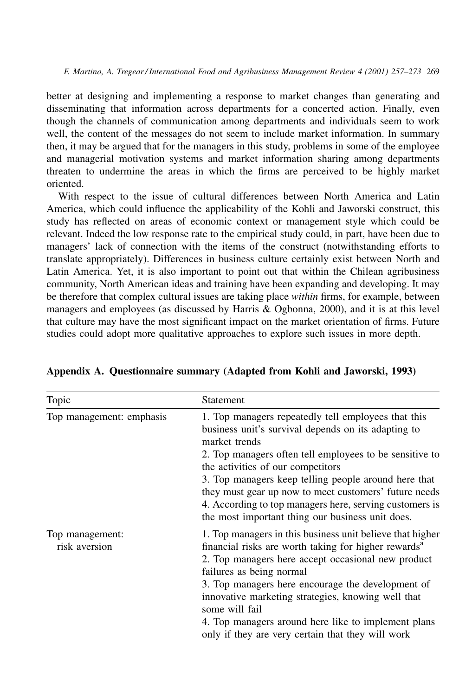F. Martino, A. Tregear/International Food and Agribusiness Management Review 4 (2001) 257–273 269

better at designing and implementing a response to market changes than generating and disseminating that information across departments for a concerted action. Finally, even though the channels of communication among departments and individuals seem to work well, the content of the messages do not seem to include market information. In summary then, it may be argued that for the managers in this study, problems in some of the employee and managerial motivation systems and market information sharing among departments threaten to undermine the areas in which the firms are perceived to be highly market oriented.

With respect to the issue of cultural differences between North America and Latin America, which could influence the applicability of the Kohli and Jaworski construct, this study has reflected on areas of economic context or management style which could be relevant. Indeed the low response rate to the empirical study could, in part, have been due to managers' lack of connection with the items of the construct (notwithstanding efforts to translate appropriately). Differences in business culture certainly exist between North and Latin America. Yet, it is also important to point out that within the Chilean agribusiness community, North American ideas and training have been expanding and developing. It may be therefore that complex cultural issues are taking place within firms, for example, between managers and employees (as discussed by Harris & Ogbonna, 2000), and it is at this level that culture may have the most significant impact on the market orientation of firms. Future studies could adopt more qualitative approaches to explore such issues in more depth.

| Topic                            | Statement                                                                                                                                                                                                                                                                                                                                                                                                                                                   |  |  |
|----------------------------------|-------------------------------------------------------------------------------------------------------------------------------------------------------------------------------------------------------------------------------------------------------------------------------------------------------------------------------------------------------------------------------------------------------------------------------------------------------------|--|--|
| Top management: emphasis         | 1. Top managers repeatedly tell employees that this<br>business unit's survival depends on its adapting to<br>market trends<br>2. Top managers often tell employees to be sensitive to<br>the activities of our competitors<br>3. Top managers keep telling people around here that<br>they must gear up now to meet customers' future needs<br>4. According to top managers here, serving customers is<br>the most important thing our business unit does. |  |  |
| Top management:<br>risk aversion | 1. Top managers in this business unit believe that higher<br>financial risks are worth taking for higher rewards <sup>a</sup><br>2. Top managers here accept occasional new product<br>failures as being normal<br>3. Top managers here encourage the development of<br>innovative marketing strategies, knowing well that<br>some will fail<br>4. Top managers around here like to implement plans<br>only if they are very certain that they will work    |  |  |

Appendix A. Questionnaire summary (Adapted from Kohli and Jaworski, 1993)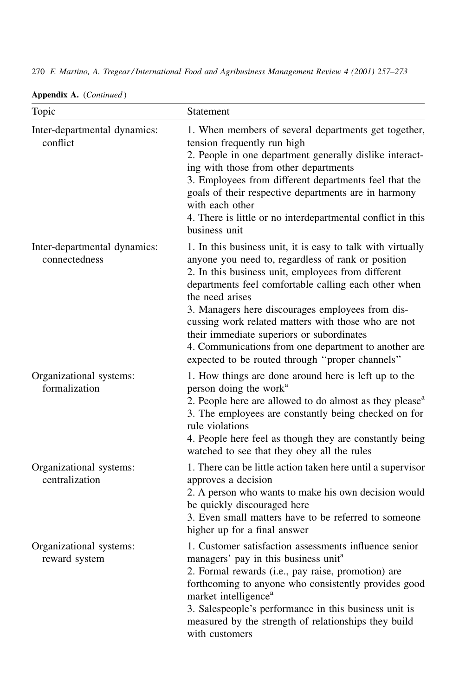270 F. Martino, A. Tregear/International Food and Agribusiness Management Review 4 (2001) 257-273

| Topic                                         | <b>Statement</b>                                                                                                                                                                                                                                                                                                                                                                                                                                                                                                      |
|-----------------------------------------------|-----------------------------------------------------------------------------------------------------------------------------------------------------------------------------------------------------------------------------------------------------------------------------------------------------------------------------------------------------------------------------------------------------------------------------------------------------------------------------------------------------------------------|
| Inter-departmental dynamics:<br>conflict      | 1. When members of several departments get together,<br>tension frequently run high<br>2. People in one department generally dislike interact-<br>ing with those from other departments<br>3. Employees from different departments feel that the<br>goals of their respective departments are in harmony<br>with each other<br>4. There is little or no interdepartmental conflict in this<br>business unit                                                                                                           |
| Inter-departmental dynamics:<br>connectedness | 1. In this business unit, it is easy to talk with virtually<br>anyone you need to, regardless of rank or position<br>2. In this business unit, employees from different<br>departments feel comfortable calling each other when<br>the need arises<br>3. Managers here discourages employees from dis-<br>cussing work related matters with those who are not<br>their immediate superiors or subordinates<br>4. Communications from one department to another are<br>expected to be routed through "proper channels" |
| Organizational systems:<br>formalization      | 1. How things are done around here is left up to the<br>person doing the work <sup>a</sup><br>2. People here are allowed to do almost as they please <sup>a</sup><br>3. The employees are constantly being checked on for<br>rule violations<br>4. People here feel as though they are constantly being<br>watched to see that they obey all the rules                                                                                                                                                                |
| Organizational systems:<br>centralization     | 1. There can be little action taken here until a supervisor<br>approves a decision<br>2. A person who wants to make his own decision would<br>be quickly discouraged here<br>3. Even small matters have to be referred to someone<br>higher up for a final answer                                                                                                                                                                                                                                                     |
| Organizational systems:<br>reward system      | 1. Customer satisfaction assessments influence senior<br>managers' pay in this business unit <sup>a</sup><br>2. Formal rewards (i.e., pay raise, promotion) are<br>forthcoming to anyone who consistently provides good<br>market intelligence <sup>a</sup><br>3. Salespeople's performance in this business unit is<br>measured by the strength of relationships they build<br>with customers                                                                                                                        |

Appendix A. (Continued)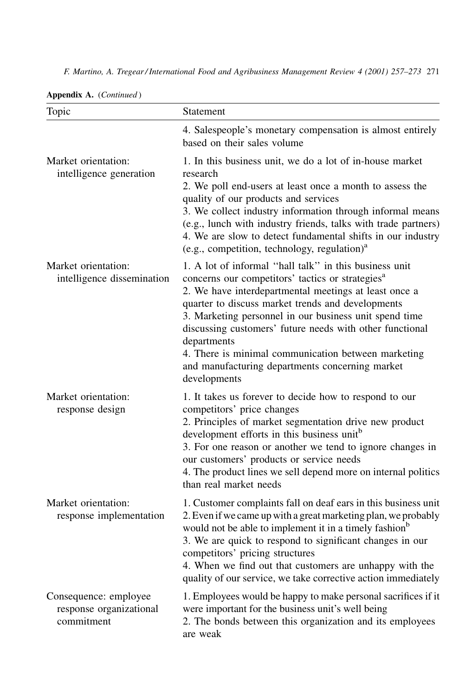|  | F. Martino, A. Tregear/International Food and Agribusiness Management Review 4 (2001) 257–273 271 |  |
|--|---------------------------------------------------------------------------------------------------|--|
|--|---------------------------------------------------------------------------------------------------|--|

| Topic                                                          | Statement                                                                                                                                                                                                                                                                                                                                                                                                                                                                                           |
|----------------------------------------------------------------|-----------------------------------------------------------------------------------------------------------------------------------------------------------------------------------------------------------------------------------------------------------------------------------------------------------------------------------------------------------------------------------------------------------------------------------------------------------------------------------------------------|
|                                                                | 4. Salespeople's monetary compensation is almost entirely<br>based on their sales volume                                                                                                                                                                                                                                                                                                                                                                                                            |
| Market orientation:<br>intelligence generation                 | 1. In this business unit, we do a lot of in-house market<br>research<br>2. We poll end-users at least once a month to assess the<br>quality of our products and services<br>3. We collect industry information through informal means<br>(e.g., lunch with industry friends, talks with trade partners)<br>4. We are slow to detect fundamental shifts in our industry<br>(e.g., competition, technology, regulation) <sup>a</sup>                                                                  |
| Market orientation:<br>intelligence dissemination              | 1. A lot of informal "hall talk" in this business unit<br>concerns our competitors' tactics or strategies <sup>a</sup><br>2. We have interdepartmental meetings at least once a<br>quarter to discuss market trends and developments<br>3. Marketing personnel in our business unit spend time<br>discussing customers' future needs with other functional<br>departments<br>4. There is minimal communication between marketing<br>and manufacturing departments concerning market<br>developments |
| Market orientation:<br>response design                         | 1. It takes us forever to decide how to respond to our<br>competitors' price changes<br>2. Principles of market segmentation drive new product<br>development efforts in this business unit <sup>b</sup><br>3. For one reason or another we tend to ignore changes in<br>our customers' products or service needs<br>4. The product lines we sell depend more on internal politics<br>than real market needs                                                                                        |
| Market orientation:<br>response implementation                 | 1. Customer complaints fall on deaf ears in this business unit<br>2. Even if we came up with a great marketing plan, we probably<br>would not be able to implement it in a timely fashion <sup>b</sup><br>3. We are quick to respond to significant changes in our<br>competitors' pricing structures<br>4. When we find out that customers are unhappy with the<br>quality of our service, we take corrective action immediately                                                                   |
| Consequence: employee<br>response organizational<br>commitment | 1. Employees would be happy to make personal sacrifices if it<br>were important for the business unit's well being<br>2. The bonds between this organization and its employees<br>are weak                                                                                                                                                                                                                                                                                                          |

|  | Appendix A. (Continued) |
|--|-------------------------|
|  |                         |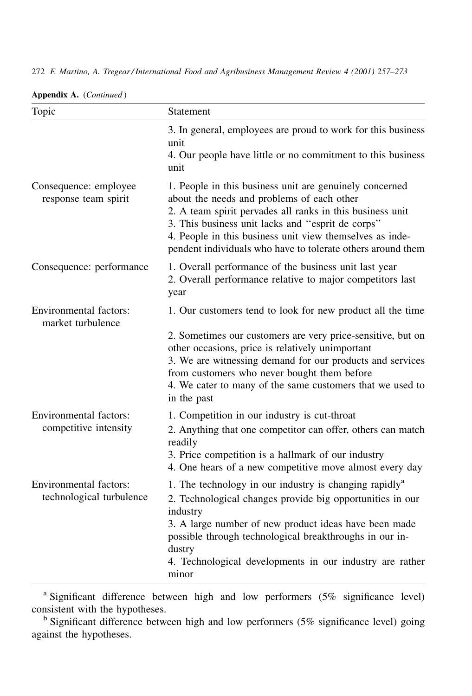272 F. Martino, A. Tregear/International Food and Agribusiness Management Review 4 (2001) 257-273

| Topic                                                     | Statement                                                                                                                                                                                                                                                                                                                                                             |  |  |  |
|-----------------------------------------------------------|-----------------------------------------------------------------------------------------------------------------------------------------------------------------------------------------------------------------------------------------------------------------------------------------------------------------------------------------------------------------------|--|--|--|
|                                                           | 3. In general, employees are proud to work for this business<br>unit<br>4. Our people have little or no commitment to this business<br>unit                                                                                                                                                                                                                           |  |  |  |
| Consequence: employee<br>response team spirit             | 1. People in this business unit are genuinely concerned<br>about the needs and problems of each other<br>2. A team spirit pervades all ranks in this business unit<br>3. This business unit lacks and "esprit de corps"<br>4. People in this business unit view themselves as inde-<br>pendent individuals who have to tolerate others around them                    |  |  |  |
| Consequence: performance                                  | 1. Overall performance of the business unit last year<br>2. Overall performance relative to major competitors last<br>year                                                                                                                                                                                                                                            |  |  |  |
| <b>Environmental factors:</b><br>market turbulence        | 1. Our customers tend to look for new product all the time<br>2. Sometimes our customers are very price-sensitive, but on<br>other occasions, price is relatively unimportant<br>3. We are witnessing demand for our products and services<br>from customers who never bought them before<br>4. We cater to many of the same customers that we used to<br>in the past |  |  |  |
| <b>Environmental factors:</b><br>competitive intensity    | 1. Competition in our industry is cut-throat<br>2. Anything that one competitor can offer, others can match<br>readily<br>3. Price competition is a hallmark of our industry<br>4. One hears of a new competitive move almost every day                                                                                                                               |  |  |  |
| <b>Environmental factors:</b><br>technological turbulence | 1. The technology in our industry is changing rapidly <sup>a</sup><br>2. Technological changes provide big opportunities in our<br>industry<br>3. A large number of new product ideas have been made<br>possible through technological breakthroughs in our in-<br>dustry<br>4. Technological developments in our industry are rather<br>minor                        |  |  |  |

Appendix A. (Continued)

<sup>a</sup> Significant difference between high and low performers (5% significance level) consistent with the hypotheses.

<sup>b</sup> Significant difference between high and low performers (5% significance level) going against the hypotheses.